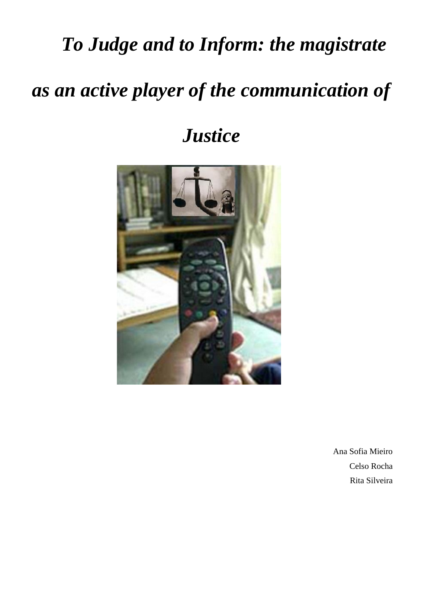# *To Judge and to Inform: the magistrate*

# *as an active player of the communication of*

*Justice*



Ana Sofia Mieiro Celso Rocha Rita Silveira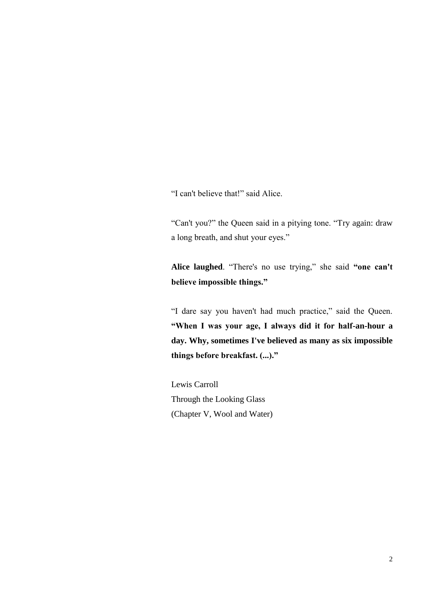"I can't believe that!" said Alice.

"Can't you?" the Queen said in a pitying tone. "Try again: draw a long breath, and shut your eyes."

**Alice laughed**. "There's no use trying," she said **"one can't believe impossible things."**

"I dare say you haven't had much practice," said the Queen. **"When I was your age, I always did it for half-an-hour a day. Why, sometimes I've believed as many as six impossible things before breakfast. (...)."**

Lewis Carroll Through the Looking Glass (Chapter V, Wool and Water)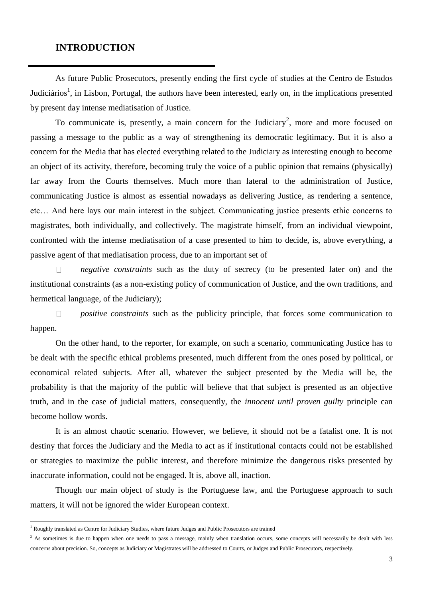# **INTRODUCTION**

As future Public Prosecutors, presently ending the first cycle of studies at the Centro de Estudos Judiciários<sup>1</sup>, in Lisbon, Portugal, the authors have been interested, early on, in the implications presented by present day intense mediatisation of Justice.

To communicate is, presently, a main concern for the Judiciary<sup>2</sup>, more and more focused on passing a message to the public as a way of strengthening its democratic legitimacy. But it is also a concern for the Media that has elected everything related to the Judiciary as interesting enough to become an object of its activity, therefore, becoming truly the voice of a public opinion that remains (physically) far away from the Courts themselves. Much more than lateral to the administration of Justice, communicating Justice is almost as essential nowadays as delivering Justice, as rendering a sentence, etc… And here lays our main interest in the subject. Communicating justice presents ethic concerns to magistrates, both individually, and collectively. The magistrate himself, from an individual viewpoint, confronted with the intense mediatisation of a case presented to him to decide, is, above everything, a passive agent of that mediatisation process, due to an important set of

 $\Box$ *negative constraints* such as the duty of secrecy (to be presented later on) and the institutional constraints (as a non-existing policy of communication of Justice, and the own traditions, and hermetical language, of the Judiciary);

*positive constraints* such as the publicity principle, that forces some communication to  $\Box$ happen.

On the other hand, to the reporter, for example, on such a scenario, communicating Justice has to be dealt with the specific ethical problems presented, much different from the ones posed by political, or economical related subjects. After all, whatever the subject presented by the Media will be, the probability is that the majority of the public will believe that that subject is presented as an objective truth, and in the case of judicial matters, consequently, the *innocent until proven guilty* principle can become hollow words.

It is an almost chaotic scenario. However, we believe, it should not be a fatalist one. It is not destiny that forces the Judiciary and the Media to act as if institutional contacts could not be established or strategies to maximize the public interest, and therefore minimize the dangerous risks presented by inaccurate information, could not be engaged. It is, above all, inaction.

Though our main object of study is the Portuguese law, and the Portuguese approach to such matters, it will not be ignored the wider European context.

 $\overline{a}$ 

<sup>&</sup>lt;sup>1</sup> Roughly translated as Centre for Judiciary Studies, where future Judges and Public Prosecutors are trained

 $2$  As sometimes is due to happen when one needs to pass a message, mainly when translation occurs, some concepts will necessarily be dealt with less concerns about precision. So, concepts as Judiciary or Magistrates will be addressed to Courts, or Judges and Public Prosecutors, respectively.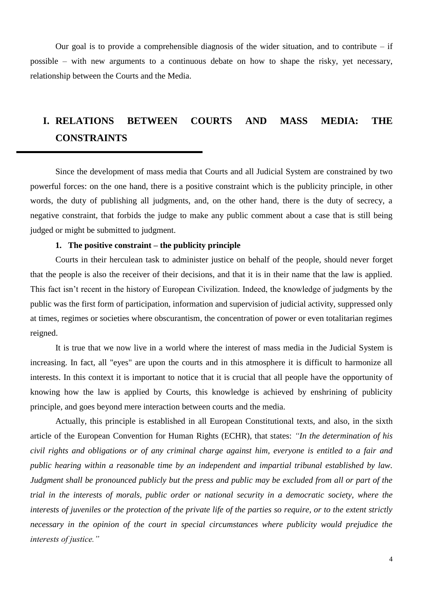Our goal is to provide a comprehensible diagnosis of the wider situation, and to contribute  $-$  if possible – with new arguments to a continuous debate on how to shape the risky, yet necessary, relationship between the Courts and the Media.

# **I. RELATIONS BETWEEN COURTS AND MASS MEDIA: THE CONSTRAINTS**

Since the development of mass media that Courts and all Judicial System are constrained by two powerful forces: on the one hand, there is a positive constraint which is the publicity principle, in other words, the duty of publishing all judgments, and, on the other hand, there is the duty of secrecy, a negative constraint, that forbids the judge to make any public comment about a case that is still being judged or might be submitted to judgment.

# **1. The positive constraint – the publicity principle**

Courts in their herculean task to administer justice on behalf of the people, should never forget that the people is also the receiver of their decisions, and that it is in their name that the law is applied. This fact isn't recent in the history of European Civilization. Indeed, the knowledge of judgments by the public was the first form of participation, information and supervision of judicial activity, suppressed only at times, regimes or societies where obscurantism, the concentration of power or even totalitarian regimes reigned.

It is true that we now live in a world where the interest of mass media in the Judicial System is increasing. In fact, all "eyes" are upon the courts and in this atmosphere it is difficult to harmonize all interests. In this context it is important to notice that it is crucial that all people have the opportunity of knowing how the law is applied by Courts, this knowledge is achieved by enshrining of publicity principle, and goes beyond mere interaction between courts and the media.

Actually, this principle is established in all European Constitutional texts, and also, in the sixth article of the European Convention for Human Rights (ECHR), that states: *"In the determination of his civil rights and obligations or of any criminal charge against him, everyone is entitled to a fair and public hearing within a reasonable time by an independent and impartial tribunal established by law. Judgment shall be pronounced publicly but the press and public may be excluded from all or part of the trial in the interests of morals, public order or national security in a democratic society, where the interests of juveniles or the protection of the private life of the parties so require, or to the extent strictly necessary in the opinion of the court in special circumstances where publicity would prejudice the interests of justice."*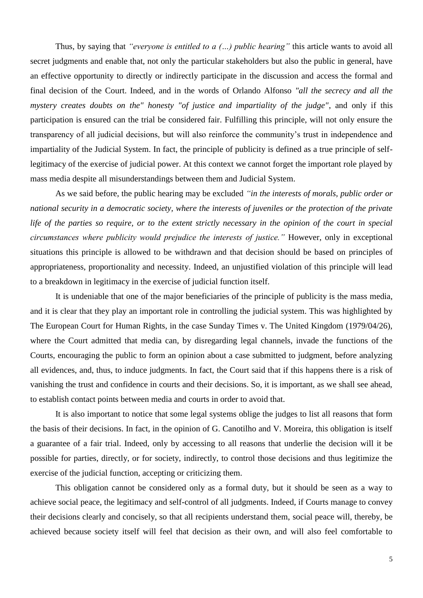Thus, by saying that *"everyone is entitled to a (…) public hearing"* this article wants to avoid all secret judgments and enable that, not only the particular stakeholders but also the public in general, have an effective opportunity to directly or indirectly participate in the discussion and access the formal and final decision of the Court. Indeed, and in the words of Orlando Alfonso *"all the secrecy and all the mystery creates doubts on the" honesty "of justice and impartiality of the judge"*, and only if this participation is ensured can the trial be considered fair. Fulfilling this principle, will not only ensure the transparency of all judicial decisions, but will also reinforce the community's trust in independence and impartiality of the Judicial System. In fact, the principle of publicity is defined as a true principle of selflegitimacy of the exercise of judicial power. At this context we cannot forget the important role played by mass media despite all misunderstandings between them and Judicial System.

As we said before, the public hearing may be excluded *"in the interests of morals, public order or national security in a democratic society, where the interests of juveniles or the protection of the private life of the parties so require, or to the extent strictly necessary in the opinion of the court in special circumstances where publicity would prejudice the interests of justice."* However, only in exceptional situations this principle is allowed to be withdrawn and that decision should be based on principles of appropriateness, proportionality and necessity. Indeed, an unjustified violation of this principle will lead to a breakdown in legitimacy in the exercise of judicial function itself.

It is undeniable that one of the major beneficiaries of the principle of publicity is the mass media, and it is clear that they play an important role in controlling the judicial system. This was highlighted by The European Court for Human Rights, in the case Sunday Times v. The United Kingdom (1979/04/26), where the Court admitted that media can, by disregarding legal channels, invade the functions of the Courts, encouraging the public to form an opinion about a case submitted to judgment, before analyzing all evidences, and, thus, to induce judgments. In fact, the Court said that if this happens there is a risk of vanishing the trust and confidence in courts and their decisions. So, it is important, as we shall see ahead, to establish contact points between media and courts in order to avoid that.

It is also important to notice that some legal systems oblige the judges to list all reasons that form the basis of their decisions. In fact, in the opinion of G. Canotilho and V. Moreira, this obligation is itself a guarantee of a fair trial. Indeed, only by accessing to all reasons that underlie the decision will it be possible for parties, directly, or for society, indirectly, to control those decisions and thus legitimize the exercise of the judicial function, accepting or criticizing them.

This obligation cannot be considered only as a formal duty, but it should be seen as a way to achieve social peace, the legitimacy and self-control of all judgments. Indeed, if Courts manage to convey their decisions clearly and concisely, so that all recipients understand them, social peace will, thereby, be achieved because society itself will feel that decision as their own, and will also feel comfortable to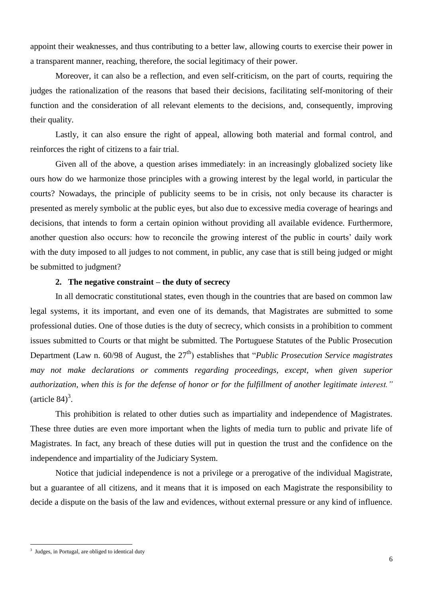appoint their weaknesses, and thus contributing to a better law, allowing courts to exercise their power in a transparent manner, reaching, therefore, the social legitimacy of their power.

Moreover, it can also be a reflection, and even self-criticism, on the part of courts, requiring the judges the rationalization of the reasons that based their decisions, facilitating self-monitoring of their function and the consideration of all relevant elements to the decisions, and, consequently, improving their quality.

Lastly, it can also ensure the right of appeal, allowing both material and formal control, and reinforces the right of citizens to a fair trial.

 Given all of the above, a question arises immediately: in an increasingly globalized society like ours how do we harmonize those principles with a growing interest by the legal world, in particular the courts? Nowadays, the principle of publicity seems to be in crisis, not only because its character is presented as merely symbolic at the public eyes, but also due to excessive media coverage of hearings and decisions, that intends to form a certain opinion without providing all available evidence. Furthermore, another question also occurs: how to reconcile the growing interest of the public in courts' daily work with the duty imposed to all judges to not comment, in public, any case that is still being judged or might be submitted to judgment?

#### **2. The negative constraint – the duty of secrecy**

In all democratic constitutional states, even though in the countries that are based on common law legal systems, it its important, and even one of its demands, that Magistrates are submitted to some professional duties. One of those duties is the duty of secrecy, which consists in a prohibition to comment issues submitted to Courts or that might be submitted. The Portuguese Statutes of the Public Prosecution Department (Law n. 60/98 of August, the 27<sup>th</sup>) establishes that "*Public Prosecution Service magistrates may not make declarations or comments regarding proceedings, except, when given superior authorization, when this is for the defense of honor or for the fulfillment of another legitimate interest."* (article  $84$ )<sup>3</sup>.

This prohibition is related to other duties such as impartiality and independence of Magistrates. These three duties are even more important when the lights of media turn to public and private life of Magistrates. In fact, any breach of these duties will put in question the trust and the confidence on the independence and impartiality of the Judiciary System.

Notice that judicial independence is not a privilege or a prerogative of the individual Magistrate, but a guarantee of all citizens, and it means that it is imposed on each Magistrate the responsibility to decide a dispute on the basis of the law and evidences, without external pressure or any kind of influence.

 $\overline{a}$ 

<sup>&</sup>lt;sup>3</sup> Judges, in Portugal, are obliged to identical duty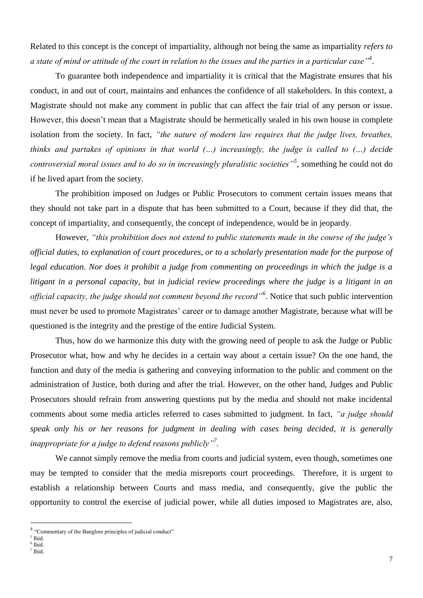Related to this concept is the concept of impartiality, although not being the same as impartiality *refers to a state of mind or attitude of the court in relation to the issues and the parties in a particular case"<sup>4</sup>* .

To guarantee both independence and impartiality it is critical that the Magistrate ensures that his conduct, in and out of court, maintains and enhances the confidence of all stakeholders. In this context, a Magistrate should not make any comment in public that can affect the fair trial of any person or issue. However, this doesn't mean that a Magistrate should be hermetically sealed in his own house in complete isolation from the society. In fact, *"the nature of modern law requires that the judge lives, breathes, thinks and partakes of opinions in that world (…) increasingly, the judge is called to (…) decide controversial moral issues and to do so in increasingly pluralistic societies"<sup>5</sup>* , something he could not do if he lived apart from the society.

The prohibition imposed on Judges or Public Prosecutors to comment certain issues means that they should not take part in a dispute that has been submitted to a Court, because if they did that, the concept of impartiality, and consequently, the concept of independence, would be in jeopardy.

However, *"this prohibition does not extend to public statements made in the course of the judge's official duties, to explanation of court procedures, or to a scholarly presentation made for the purpose of legal education. Nor does it prohibit a judge from commenting on proceedings in which the judge is a litigant in a personal capacity, but in judicial review proceedings where the judge is a litigant in an official capacity, the judge should not comment beyond the record"<sup>6</sup>* . Notice that such public intervention must never be used to promote Magistrates' career or to damage another Magistrate, because what will be questioned is the integrity and the prestige of the entire Judicial System.

Thus, how do we harmonize this duty with the growing need of people to ask the Judge or Public Prosecutor what, how and why he decides in a certain way about a certain issue? On the one hand, the function and duty of the media is gathering and conveying information to the public and comment on the administration of Justice, both during and after the trial. However, on the other hand, Judges and Public Prosecutors should refrain from answering questions put by the media and should not make incidental comments about some media articles referred to cases submitted to judgment. In fact, *"a judge should speak only his or her reasons for judgment in dealing with cases being decided, it is generally inappropriate for a judge to defend reasons publicly"<sup>7</sup> .*

We cannot simply remove the media from courts and judicial system, even though, sometimes one may be tempted to consider that the media misreports court proceedings. Therefore, it is urgent to establish a relationship between Courts and mass media, and consequently, give the public the opportunity to control the exercise of judicial power, while all duties imposed to Magistrates are, also,

 4 "Commentary of the Banglore principles of judicial conduct"

<sup>5</sup> Ibid.

<sup>6</sup> Ibid.

<sup>7</sup> Ibid.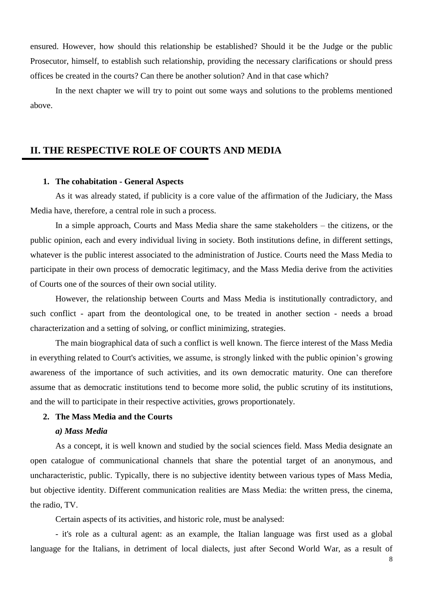ensured. However, how should this relationship be established? Should it be the Judge or the public Prosecutor, himself, to establish such relationship, providing the necessary clarifications or should press offices be created in the courts? Can there be another solution? And in that case which?

In the next chapter we will try to point out some ways and solutions to the problems mentioned above.

# **II. THE RESPECTIVE ROLE OF COURTS AND MEDIA**

#### **1. The cohabitation - General Aspects**

As it was already stated, if publicity is a core value of the affirmation of the Judiciary, the Mass Media have, therefore, a central role in such a process.

In a simple approach, Courts and Mass Media share the same stakeholders – the citizens, or the public opinion, each and every individual living in society. Both institutions define, in different settings, whatever is the public interest associated to the administration of Justice. Courts need the Mass Media to participate in their own process of democratic legitimacy, and the Mass Media derive from the activities of Courts one of the sources of their own social utility.

However, the relationship between Courts and Mass Media is institutionally contradictory, and such conflict - apart from the deontological one, to be treated in another section - needs a broad characterization and a setting of solving, or conflict minimizing, strategies.

The main biographical data of such a conflict is well known. The fierce interest of the Mass Media in everything related to Court's activities, we assume, is strongly linked with the public opinion's growing awareness of the importance of such activities, and its own democratic maturity. One can therefore assume that as democratic institutions tend to become more solid, the public scrutiny of its institutions, and the will to participate in their respective activities, grows proportionately.

# **2. The Mass Media and the Courts**

# *a) Mass Media*

As a concept, it is well known and studied by the social sciences field. Mass Media designate an open catalogue of communicational channels that share the potential target of an anonymous, and uncharacteristic, public. Typically, there is no subjective identity between various types of Mass Media, but objective identity. Different communication realities are Mass Media: the written press, the cinema, the radio, TV.

Certain aspects of its activities, and historic role, must be analysed:

- it's role as a cultural agent: as an example, the Italian language was first used as a global language for the Italians, in detriment of local dialects, just after Second World War, as a result of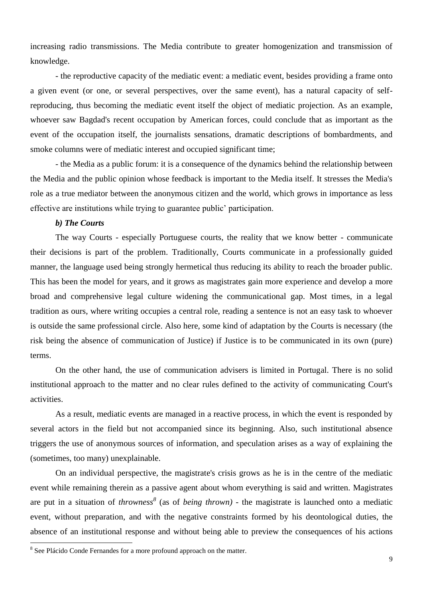increasing radio transmissions. The Media contribute to greater homogenization and transmission of knowledge.

- the reproductive capacity of the mediatic event: a mediatic event, besides providing a frame onto a given event (or one, or several perspectives, over the same event), has a natural capacity of selfreproducing, thus becoming the mediatic event itself the object of mediatic projection. As an example, whoever saw Bagdad's recent occupation by American forces, could conclude that as important as the event of the occupation itself, the journalists sensations, dramatic descriptions of bombardments, and smoke columns were of mediatic interest and occupied significant time;

- the Media as a public forum: it is a consequence of the dynamics behind the relationship between the Media and the public opinion whose feedback is important to the Media itself. It stresses the Media's role as a true mediator between the anonymous citizen and the world, which grows in importance as less effective are institutions while trying to guarantee public' participation.

#### *b) The Courts*

The way Courts - especially Portuguese courts, the reality that we know better - communicate their decisions is part of the problem. Traditionally, Courts communicate in a professionally guided manner, the language used being strongly hermetical thus reducing its ability to reach the broader public. This has been the model for years, and it grows as magistrates gain more experience and develop a more broad and comprehensive legal culture widening the communicational gap. Most times, in a legal tradition as ours, where writing occupies a central role, reading a sentence is not an easy task to whoever is outside the same professional circle. Also here, some kind of adaptation by the Courts is necessary (the risk being the absence of communication of Justice) if Justice is to be communicated in its own (pure) terms.

On the other hand, the use of communication advisers is limited in Portugal. There is no solid institutional approach to the matter and no clear rules defined to the activity of communicating Court's activities.

As a result, mediatic events are managed in a reactive process, in which the event is responded by several actors in the field but not accompanied since its beginning. Also, such institutional absence triggers the use of anonymous sources of information, and speculation arises as a way of explaining the (sometimes, too many) unexplainable.

On an individual perspective, the magistrate's crisis grows as he is in the centre of the mediatic event while remaining therein as a passive agent about whom everything is said and written. Magistrates are put in a situation of *throwness<sup>8</sup>* (as of *being thrown)* - the magistrate is launched onto a mediatic event, without preparation, and with the negative constraints formed by his deontological duties, the absence of an institutional response and without being able to preview the consequences of his actions

 $\overline{a}$ 

<sup>&</sup>lt;sup>8</sup> See Plácido Conde Fernandes for a more profound approach on the matter.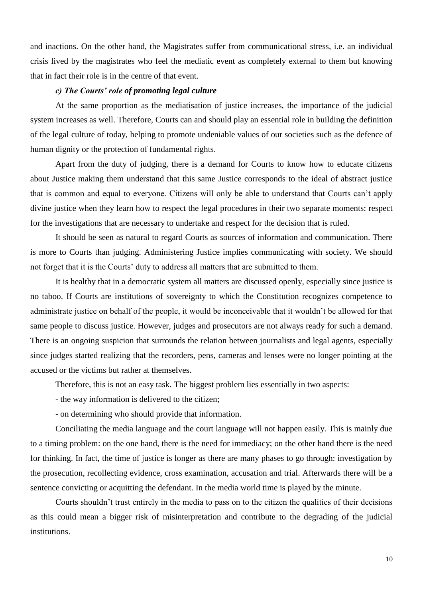and inactions. On the other hand, the Magistrates suffer from communicational stress, i.e. an individual crisis lived by the magistrates who feel the mediatic event as completely external to them but knowing that in fact their role is in the centre of that event.

# *c) The Courts' role of promoting legal culture*

At the same proportion as the mediatisation of justice increases, the importance of the judicial system increases as well. Therefore, Courts can and should play an essential role in building the definition of the legal culture of today, helping to promote undeniable values of our societies such as the defence of human dignity or the protection of fundamental rights.

Apart from the duty of judging, there is a demand for Courts to know how to educate citizens about Justice making them understand that this same Justice corresponds to the ideal of abstract justice that is common and equal to everyone. Citizens will only be able to understand that Courts can't apply divine justice when they learn how to respect the legal procedures in their two separate moments: respect for the investigations that are necessary to undertake and respect for the decision that is ruled.

It should be seen as natural to regard Courts as sources of information and communication. There is more to Courts than judging. Administering Justice implies communicating with society. We should not forget that it is the Courts' duty to address all matters that are submitted to them.

It is healthy that in a democratic system all matters are discussed openly, especially since justice is no taboo. If Courts are institutions of sovereignty to which the Constitution recognizes competence to administrate justice on behalf of the people, it would be inconceivable that it wouldn't be allowed for that same people to discuss justice. However, judges and prosecutors are not always ready for such a demand. There is an ongoing suspicion that surrounds the relation between journalists and legal agents, especially since judges started realizing that the recorders, pens, cameras and lenses were no longer pointing at the accused or the victims but rather at themselves.

Therefore, this is not an easy task. The biggest problem lies essentially in two aspects:

- the way information is delivered to the citizen;

- on determining who should provide that information.

Conciliating the media language and the court language will not happen easily. This is mainly due to a timing problem: on the one hand, there is the need for immediacy; on the other hand there is the need for thinking. In fact, the time of justice is longer as there are many phases to go through: investigation by the prosecution, recollecting evidence, cross examination, accusation and trial. Afterwards there will be a sentence convicting or acquitting the defendant. In the media world time is played by the minute.

Courts shouldn't trust entirely in the media to pass on to the citizen the qualities of their decisions as this could mean a bigger risk of misinterpretation and contribute to the degrading of the judicial institutions.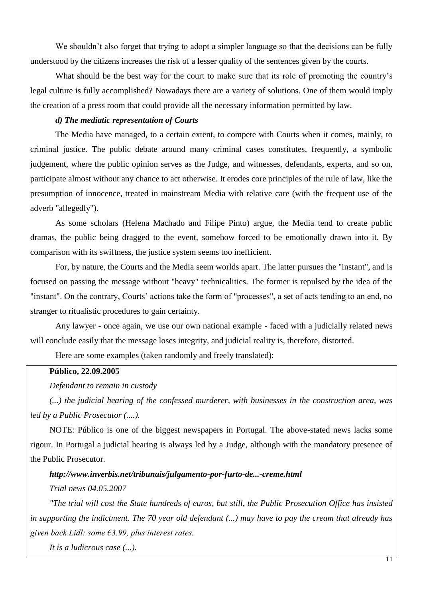We shouldn't also forget that trying to adopt a simpler language so that the decisions can be fully understood by the citizens increases the risk of a lesser quality of the sentences given by the courts.

What should be the best way for the court to make sure that its role of promoting the country's legal culture is fully accomplished? Nowadays there are a variety of solutions. One of them would imply the creation of a press room that could provide all the necessary information permitted by law.

# *d) The mediatic representation of Courts*

The Media have managed, to a certain extent, to compete with Courts when it comes, mainly, to criminal justice. The public debate around many criminal cases constitutes, frequently, a symbolic judgement, where the public opinion serves as the Judge, and witnesses, defendants, experts, and so on, participate almost without any chance to act otherwise. It erodes core principles of the rule of law, like the presumption of innocence, treated in mainstream Media with relative care (with the frequent use of the adverb "allegedly").

As some scholars (Helena Machado and Filipe Pinto) argue, the Media tend to create public dramas, the public being dragged to the event, somehow forced to be emotionally drawn into it. By comparison with its swiftness, the justice system seems too inefficient.

For, by nature, the Courts and the Media seem worlds apart. The latter pursues the "instant", and is focused on passing the message without "heavy" technicalities. The former is repulsed by the idea of the "instant". On the contrary, Courts' actions take the form of "processes", a set of acts tending to an end, no stranger to ritualistic procedures to gain certainty.

Any lawyer - once again, we use our own national example - faced with a judicially related news will conclude easily that the message loses integrity, and judicial reality is, therefore, distorted.

Here are some examples (taken randomly and freely translated):

#### **Público, 22.09.2005**

*Defendant to remain in custody*

*(...) the judicial hearing of the confessed murderer, with businesses in the construction area, was led by a Public Prosecutor (....).*

NOTE: Público is one of the biggest newspapers in Portugal. The above-stated news lacks some rigour. In Portugal a judicial hearing is always led by a Judge, although with the mandatory presence of the Public Prosecutor.

# *http://www.inverbis.net/tribunais/julgamento-por-furto-de...-creme.html*

#### *Trial news 04.05.2007*

*"The trial will cost the State hundreds of euros, but still, the Public Prosecution Office has insisted in supporting the indictment. The 70 year old defendant (...) may have to pay the cream that already has given back Lidl: some €3.99, plus interest rates.*

*It is a ludicrous case (...).*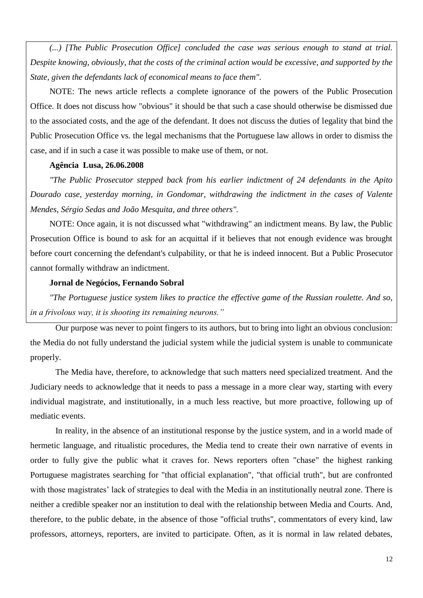*(...) [The Public Prosecution Office] concluded the case was serious enough to stand at trial. Despite knowing, obviously, that the costs of the criminal action would be excessive, and supported by the State, given the defendants lack of economical means to face them".*

NOTE: The news article reflects a complete ignorance of the powers of the Public Prosecution Office. It does not discuss how "obvious" it should be that such a case should otherwise be dismissed due to the associated costs, and the age of the defendant. It does not discuss the duties of legality that bind the Public Prosecution Office vs. the legal mechanisms that the Portuguese law allows in order to dismiss the case, and if in such a case it was possible to make use of them, or not.

#### **Agência Lusa, 26.06.2008**

*"The Public Prosecutor stepped back from his earlier indictment of 24 defendants in the Apito Dourado case, yesterday morning, in Gondomar, withdrawing the indictment in the cases of Valente Mendes, Sérgio Sedas and João Mesquita, and three others".*

NOTE: Once again, it is not discussed what "withdrawing" an indictment means. By law, the Public Prosecution Office is bound to ask for an acquittal if it believes that not enough evidence was brought before court concerning the defendant's culpability, or that he is indeed innocent. But a Public Prosecutor cannot formally withdraw an indictment.

#### **Jornal de Negócios, Fernando Sobral**

*"The Portuguese justice system likes to practice the effective game of the Russian roulette. And so, in a frivolous way, it is shooting its remaining neurons."*

Our purpose was never to point fingers to its authors, but to bring into light an obvious conclusion: the Media do not fully understand the judicial system while the judicial system is unable to communicate properly.

The Media have, therefore, to acknowledge that such matters need specialized treatment. And the Judiciary needs to acknowledge that it needs to pass a message in a more clear way, starting with every individual magistrate, and institutionally, in a much less reactive, but more proactive, following up of mediatic events.

In reality, in the absence of an institutional response by the justice system, and in a world made of hermetic language, and ritualistic procedures, the Media tend to create their own narrative of events in order to fully give the public what it craves for. News reporters often "chase" the highest ranking Portuguese magistrates searching for "that official explanation", "that official truth", but are confronted with those magistrates' lack of strategies to deal with the Media in an institutionally neutral zone. There is neither a credible speaker nor an institution to deal with the relationship between Media and Courts. And, therefore, to the public debate, in the absence of those "official truths", commentators of every kind, law professors, attorneys, reporters, are invited to participate. Often, as it is normal in law related debates,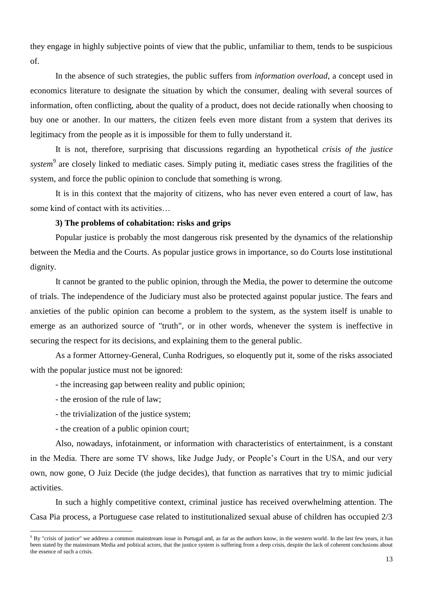they engage in highly subjective points of view that the public, unfamiliar to them, tends to be suspicious of.

In the absence of such strategies, the public suffers from *information overload*, a concept used in economics literature to designate the situation by which the consumer, dealing with several sources of information, often conflicting, about the quality of a product, does not decide rationally when choosing to buy one or another. In our matters, the citizen feels even more distant from a system that derives its legitimacy from the people as it is impossible for them to fully understand it.

It is not, therefore, surprising that discussions regarding an hypothetical *crisis of the justice*  system<sup>9</sup> are closely linked to mediatic cases. Simply puting it, mediatic cases stress the fragilities of the system, and force the public opinion to conclude that something is wrong.

It is in this context that the majority of citizens, who has never even entered a court of law, has some kind of contact with its activities…

# **3) The problems of cohabitation: risks and grips**

Popular justice is probably the most dangerous risk presented by the dynamics of the relationship between the Media and the Courts. As popular justice grows in importance, so do Courts lose institutional dignity.

It cannot be granted to the public opinion, through the Media, the power to determine the outcome of trials. The independence of the Judiciary must also be protected against popular justice. The fears and anxieties of the public opinion can become a problem to the system, as the system itself is unable to emerge as an authorized source of "truth", or in other words, whenever the system is ineffective in securing the respect for its decisions, and explaining them to the general public.

As a former Attorney-General, Cunha Rodrigues, so eloquently put it, some of the risks associated with the popular justice must not be ignored:

- the increasing gap between reality and public opinion;
- the erosion of the rule of law;

 $\overline{a}$ 

- the trivialization of the justice system;
- the creation of a public opinion court;

Also, nowadays, infotainment, or information with characteristics of entertainment, is a constant in the Media. There are some TV shows, like Judge Judy, or People's Court in the USA, and our very own, now gone, O Juiz Decide (the judge decides), that function as narratives that try to mimic judicial activities.

In such a highly competitive context, criminal justice has received overwhelming attention. The Casa Pia process, a Portuguese case related to institutionalized sexual abuse of children has occupied 2/3

 $9$  By "crisis of justice" we address a common mainstream issue in Portugal and, as far as the authors know, in the western world. In the last few years, it has been stated by the mainstream Media and political actors, that the justice system is suffering from a deep crisis, despite the lack of coherent conclusions about the essence of such a crisis.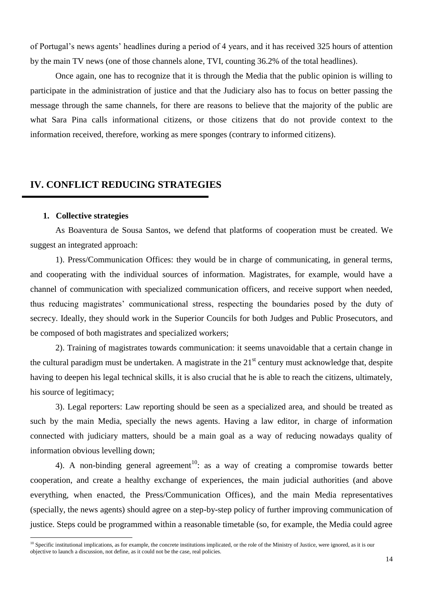of Portugal's news agents' headlines during a period of 4 years, and it has received 325 hours of attention by the main TV news (one of those channels alone, TVI, counting 36.2% of the total headlines).

Once again, one has to recognize that it is through the Media that the public opinion is willing to participate in the administration of justice and that the Judiciary also has to focus on better passing the message through the same channels, for there are reasons to believe that the majority of the public are what Sara Pina calls informational citizens, or those citizens that do not provide context to the information received, therefore, working as mere sponges (contrary to informed citizens).

# **IV. CONFLICT REDUCING STRATEGIES**

#### **1. Collective strategies**

 $\overline{a}$ 

As Boaventura de Sousa Santos, we defend that platforms of cooperation must be created. We suggest an integrated approach:

1). Press/Communication Offices: they would be in charge of communicating, in general terms, and cooperating with the individual sources of information. Magistrates, for example, would have a channel of communication with specialized communication officers, and receive support when needed, thus reducing magistrates' communicational stress, respecting the boundaries posed by the duty of secrecy. Ideally, they should work in the Superior Councils for both Judges and Public Prosecutors, and be composed of both magistrates and specialized workers;

2). Training of magistrates towards communication: it seems unavoidable that a certain change in the cultural paradigm must be undertaken. A magistrate in the  $21<sup>st</sup>$  century must acknowledge that, despite having to deepen his legal technical skills, it is also crucial that he is able to reach the citizens, ultimately, his source of legitimacy;

3). Legal reporters: Law reporting should be seen as a specialized area, and should be treated as such by the main Media, specially the news agents. Having a law editor, in charge of information connected with judiciary matters, should be a main goal as a way of reducing nowadays quality of information obvious levelling down;

4). A non-binding general agreement<sup>10</sup>: as a way of creating a compromise towards better cooperation, and create a healthy exchange of experiences, the main judicial authorities (and above everything, when enacted, the Press/Communication Offices), and the main Media representatives (specially, the news agents) should agree on a step-by-step policy of further improving communication of justice. Steps could be programmed within a reasonable timetable (so, for example, the Media could agree

 $10$  Specific institutional implications, as for example, the concrete institutions implicated, or the role of the Ministry of Justice, were ignored, as it is our objective to launch a discussion, not define, as it could not be the case, real policies.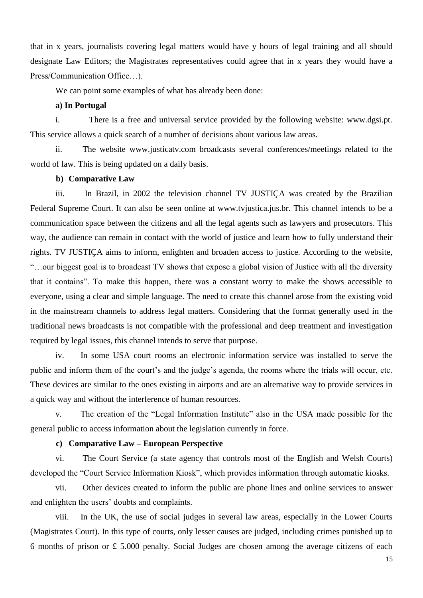that in x years, journalists covering legal matters would have y hours of legal training and all should designate Law Editors; the Magistrates representatives could agree that in x years they would have a Press/Communication Office…).

We can point some examples of what has already been done:

#### **a) In Portugal**

i. There is a free and universal service provided by the following website: www.dgsi.pt. This service allows a quick search of a number of decisions about various law areas.

ii. The website www.justicatv.com broadcasts several conferences/meetings related to the world of law. This is being updated on a daily basis.

#### **b) Comparative Law**

iii. In Brazil, in 2002 the television channel TV JUSTIÇA was created by the Brazilian Federal Supreme Court. It can also be seen online at www.tvjustica.jus.br. This channel intends to be a communication space between the citizens and all the legal agents such as lawyers and prosecutors. This way, the audience can remain in contact with the world of justice and learn how to fully understand their rights. TV JUSTIÇA aims to inform, enlighten and broaden access to justice. According to the website, "…our biggest goal is to broadcast TV shows that expose a global vision of Justice with all the diversity that it contains". To make this happen, there was a constant worry to make the shows accessible to everyone, using a clear and simple language. The need to create this channel arose from the existing void in the mainstream channels to address legal matters. Considering that the format generally used in the traditional news broadcasts is not compatible with the professional and deep treatment and investigation required by legal issues, this channel intends to serve that purpose.

iv. In some USA court rooms an electronic information service was installed to serve the public and inform them of the court's and the judge's agenda, the rooms where the trials will occur, etc. These devices are similar to the ones existing in airports and are an alternative way to provide services in a quick way and without the interference of human resources.

v. The creation of the "Legal Information Institute" also in the USA made possible for the general public to access information about the legislation currently in force.

#### **c) Comparative Law – European Perspective**

vi. The Court Service (a state agency that controls most of the English and Welsh Courts) developed the "Court Service Information Kiosk", which provides information through automatic kiosks.

vii. Other devices created to inform the public are phone lines and online services to answer and enlighten the users' doubts and complaints.

viii. In the UK, the use of social judges in several law areas, especially in the Lower Courts (Magistrates Court). In this type of courts, only lesser causes are judged, including crimes punished up to 6 months of prison or £ 5.000 penalty. Social Judges are chosen among the average citizens of each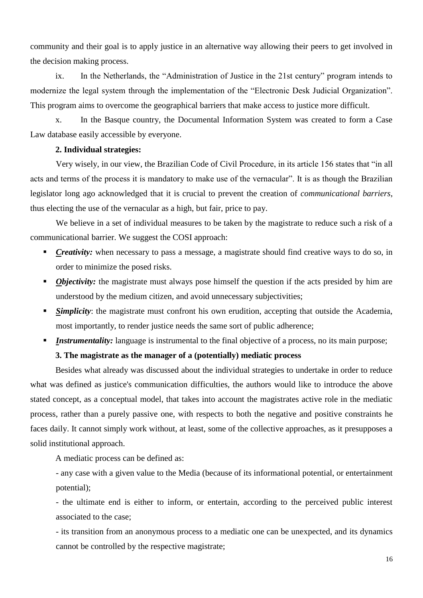community and their goal is to apply justice in an alternative way allowing their peers to get involved in the decision making process.

ix. In the Netherlands, the "Administration of Justice in the 21st century" program intends to modernize the legal system through the implementation of the "Electronic Desk Judicial Organization". This program aims to overcome the geographical barriers that make access to justice more difficult.

x. In the Basque country, the Documental Information System was created to form a Case Law database easily accessible by everyone.

# **2. Individual strategies:**

Very wisely, in our view, the Brazilian Code of Civil Procedure, in its article 156 states that "in all acts and terms of the process it is mandatory to make use of the vernacular". It is as though the Brazilian legislator long ago acknowledged that it is crucial to prevent the creation of *communicational barriers*, thus electing the use of the vernacular as a high, but fair, price to pay.

We believe in a set of individual measures to be taken by the magistrate to reduce such a risk of a communicational barrier. We suggest the COSI approach:

- *Creativity:* when necessary to pass a message, a magistrate should find creative ways to do so, in order to minimize the posed risks.
- *Objectivity:* the magistrate must always pose himself the question if the acts presided by him are understood by the medium citizen, and avoid unnecessary subjectivities;
- *Simplicity*: the magistrate must confront his own erudition, accepting that outside the Academia, most importantly, to render justice needs the same sort of public adherence;
- *Instrumentality:* language is instrumental to the final objective of a process, no its main purpose;

# **3. The magistrate as the manager of a (potentially) mediatic process**

Besides what already was discussed about the individual strategies to undertake in order to reduce what was defined as justice's communication difficulties, the authors would like to introduce the above stated concept, as a conceptual model, that takes into account the magistrates active role in the mediatic process, rather than a purely passive one, with respects to both the negative and positive constraints he faces daily. It cannot simply work without, at least, some of the collective approaches, as it presupposes a solid institutional approach.

A mediatic process can be defined as:

- any case with a given value to the Media (because of its informational potential, or entertainment potential);

- the ultimate end is either to inform, or entertain, according to the perceived public interest associated to the case;

- its transition from an anonymous process to a mediatic one can be unexpected, and its dynamics cannot be controlled by the respective magistrate;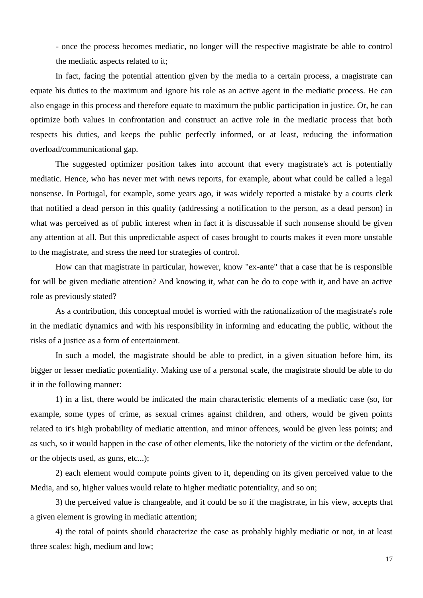- once the process becomes mediatic, no longer will the respective magistrate be able to control the mediatic aspects related to it;

In fact, facing the potential attention given by the media to a certain process, a magistrate can equate his duties to the maximum and ignore his role as an active agent in the mediatic process. He can also engage in this process and therefore equate to maximum the public participation in justice. Or, he can optimize both values in confrontation and construct an active role in the mediatic process that both respects his duties, and keeps the public perfectly informed, or at least, reducing the information overload/communicational gap.

The suggested optimizer position takes into account that every magistrate's act is potentially mediatic. Hence, who has never met with news reports, for example, about what could be called a legal nonsense. In Portugal, for example, some years ago, it was widely reported a mistake by a courts clerk that notified a dead person in this quality (addressing a notification to the person, as a dead person) in what was perceived as of public interest when in fact it is discussable if such nonsense should be given any attention at all. But this unpredictable aspect of cases brought to courts makes it even more unstable to the magistrate, and stress the need for strategies of control.

How can that magistrate in particular, however, know "ex-ante" that a case that he is responsible for will be given mediatic attention? And knowing it, what can he do to cope with it, and have an active role as previously stated?

As a contribution, this conceptual model is worried with the rationalization of the magistrate's role in the mediatic dynamics and with his responsibility in informing and educating the public, without the risks of a justice as a form of entertainment.

In such a model, the magistrate should be able to predict, in a given situation before him, its bigger or lesser mediatic potentiality. Making use of a personal scale, the magistrate should be able to do it in the following manner:

1) in a list, there would be indicated the main characteristic elements of a mediatic case (so, for example, some types of crime, as sexual crimes against children, and others, would be given points related to it's high probability of mediatic attention, and minor offences, would be given less points; and as such, so it would happen in the case of other elements, like the notoriety of the victim or the defendant, or the objects used, as guns, etc...);

2) each element would compute points given to it, depending on its given perceived value to the Media, and so, higher values would relate to higher mediatic potentiality, and so on;

3) the perceived value is changeable, and it could be so if the magistrate, in his view, accepts that a given element is growing in mediatic attention;

4) the total of points should characterize the case as probably highly mediatic or not, in at least three scales: high, medium and low;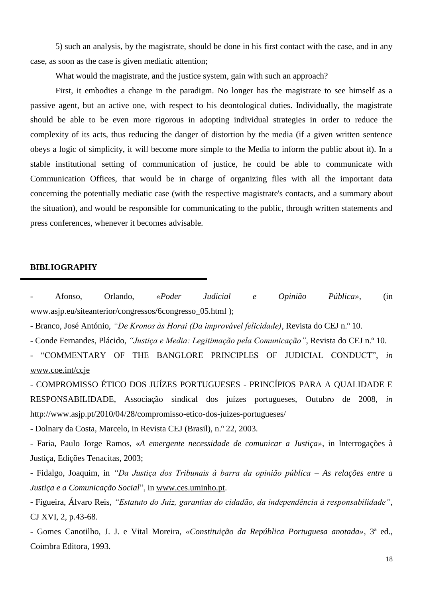5) such an analysis, by the magistrate, should be done in his first contact with the case, and in any case, as soon as the case is given mediatic attention;

What would the magistrate, and the justice system, gain with such an approach?

First, it embodies a change in the paradigm. No longer has the magistrate to see himself as a passive agent, but an active one, with respect to his deontological duties. Individually, the magistrate should be able to be even more rigorous in adopting individual strategies in order to reduce the complexity of its acts, thus reducing the danger of distortion by the media (if a given written sentence obeys a logic of simplicity, it will become more simple to the Media to inform the public about it). In a stable institutional setting of communication of justice, he could be able to communicate with Communication Offices, that would be in charge of organizing files with all the important data concerning the potentially mediatic case (with the respective magistrate's contacts, and a summary about the situation), and would be responsible for communicating to the public, through written statements and press conferences, whenever it becomes advisable.

#### **BIBLIOGRAPHY**

- Afonso, Orlando, *«Poder Judicial e Opinião Pública»*, (in www.asjp.eu/siteanterior/congressos/6congresso\_05.html );

- Branco, José António, *"De Kronos às Horai (Da improvável felicidade)*, Revista do CEJ n.º 10.

- Conde Fernandes, Plácido, *"Justiça e Media: Legitimação pela Comunicação"*, Revista do CEJ n.º 10.

- "COMMENTARY OF THE BANGLORE PRINCIPLES OF JUDICIAL CONDUCT", *in* [www.coe.int/ccje](http://www.coe.int/ccje)

- COMPROMISSO ÉTICO DOS JUÍZES PORTUGUESES - PRINCÍPIOS PARA A QUALIDADE E RESPONSABILIDADE, Associação sindical dos juízes portugueses, Outubro de 2008, *in*  http://www.asjp.pt/2010/04/28/compromisso-etico-dos-juizes-portugueses/

- Dolnary da Costa, Marcelo, in Revista CEJ (Brasil), n.º 22, 2003.

- Faria, Paulo Jorge Ramos, «*A emergente necessidade de comunicar a Justiça»*, in Interrogações à Justiça, Edições Tenacitas, 2003;

- Fidalgo, Joaquim, in *"Da Justiça dos Tribunais à barra da opinião pública – As relações entre a Justiça e a Comunicação Social*", in [www.ces.uminho.pt.](http://www.ces.uminho.pt/)

- Figueira, Álvaro Reis, *"Estatuto do Juiz, garantias do cidadão, da independência à responsabilidade"*, CJ XVI, 2, p.43-68.

- Gomes Canotilho, J. J. e Vital Moreira, *«Constituição da República Portuguesa anotada»*, 3ª ed., Coimbra Editora, 1993.